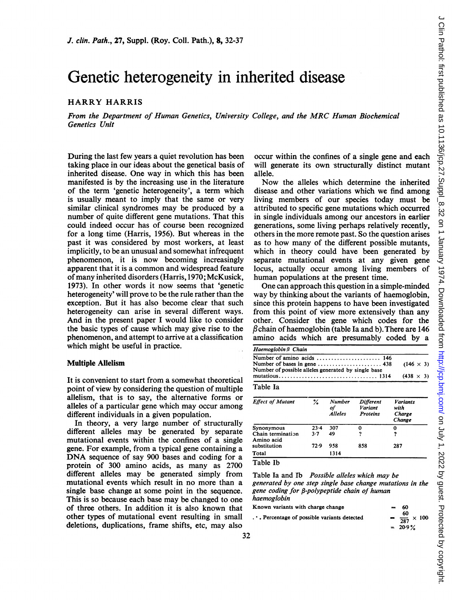# Genetic heterogeneity in inherited disease

# HARRY HARRIS

From the Department of Human Genetics, University College, and the MRC Human Biochemical Genetics Unit

During the last few years a quiet revolution has been taking place in our ideas about the genetical basis of inherited disease. One way in which this has been manifested is by the increasing use in the literature of the term 'genetic heterogeneity', a term which is usually meant to imply that the same or very similar clinical syndromes may be produced by a number of quite different gene mutations. That this could indeed occur has of course been recognized for a long time (Harris, 1956). But whereas in the past it was considered by most workers, at least implicitly, to be an unusual and somewhat infrequent phenomenon, it is now becoming increasingly apparent that it is a common and widespread feature of many inherited disorders (Harris, 1970; McKusick, 1973). In other words it now seems that 'genetic heterogeneity' will prove to be the rule rather than the exception. But it has also become clear that such heterogeneity can arise in several different ways. And in the present paper <sup>I</sup> would like to consider the basic types of cause which may give rise to the phenomenon, and attempt to arrive at a classification which might be useful in practice.

#### Multiple Allelism

It is convenient to start from a somewhat theoretical point of view by considering the question of multiple allelism, that is to say, the alternative forms or alleles of a particular gene which may occur among different individuals in a given population.

In theory, a very large number of structurally different alleles may be generated by separate mutational events within the confines of a single gene. For example, from a typical gene containing a DNA sequence of say <sup>900</sup> bases and coding for <sup>a</sup> protein of 300 amino acids, as many as 2700 different alleles may be generated simply from mutational events which result in no more than a single base change at some point in the sequence. This is so because each base may be changed to one of three others. In addition it is also known that other types of mutational event resulting in small deletions, duplications, frame shifts, etc, may also

occur within the confines of a single gene and each will generate its own structurally distinct mutant allele.

Now the alleles which determine the inherited disease and other variations which we find among living members of our species today must be attributed to specific gene mutations which occurred in single individuals among our ancestors in earlier generations, some living perhaps relatively recently, others in the more remote past. So the question arises as to how many of the different possible mutants, which in theory could have been generated by separate mutational events at any given gene locus, actually occur among living members of human populations at the present time.

One can approach this question in a simple-minded way by thinking about the variants of haemoglobin, since this protein happens to have been investigated from this point of view more extensively than any other. Consider the gene which codes for the  $\beta$ chain of haemoglobin (table Ia and b). There are 146 amino acids which are presumably coded by a

| Haemoglobin B Chain                                                                                                        |                 |                                       |                                  |                                      |  |
|----------------------------------------------------------------------------------------------------------------------------|-----------------|---------------------------------------|----------------------------------|--------------------------------------|--|
| Number of bases in gene $\dots \dots \dots \dots \dots \dots$ . 438<br>Number of possible alleles generated by single base |                 |                                       |                                  | $(146 \times 3)$<br>$(438 \times 3)$ |  |
| Table Ia                                                                                                                   |                 |                                       |                                  |                                      |  |
| <b>Effect of Mutant</b>                                                                                                    | %               | <b>Number</b><br>of<br><b>Alleles</b> | Different<br>Variant<br>Proteins | Variants<br>with<br>Charge<br>Change |  |
| Synonymous<br>Chain termination                                                                                            | $23 - 4$<br>3.7 | 307<br>49                             | 0<br>7                           | 0<br>7                               |  |
| Amino acid<br>substitution                                                                                                 | 72.9            | 958                                   | 858                              | 287                                  |  |
| Total                                                                                                                      |                 | 1314                                  |                                  |                                      |  |

Table lb

Table Ia and Ib Possible alleles which may be generated by one step single base change mutations in the gene coding for  $\beta$ -polypeptide chain of human haemoglobin

| Known variants with charge change |  |  | -60        |
|-----------------------------------|--|--|------------|
|                                   |  |  | $\epsilon$ |

. . Percentage of possible variants detected

 $=\frac{60}{287} \times 100$  $= 20.9 \%$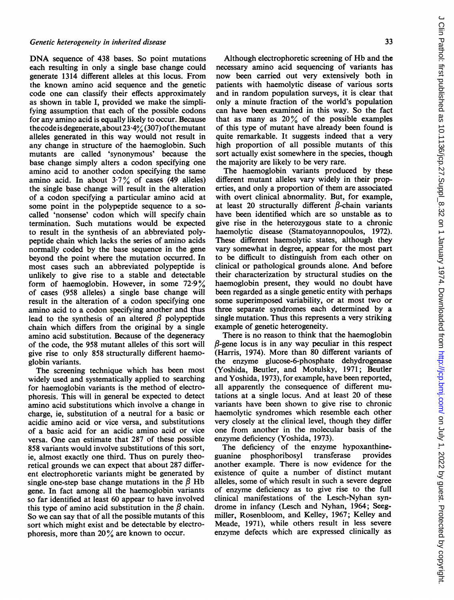DNA sequence of <sup>438</sup> bases. So point mutations each resulting in only a single base change could generate 1314 different alleles at this locus. From the known amino acid sequence and the genetic code one can classify their effects approximately as shown in table I, provided we make the simplifying assumption that each of the possible codons for any amino acid is equally likely to occur. Because the code is degenerate, about  $23.4\%$  (307) of the mutant alleles generated in this way would not result in any change in structure of the haemoglobin. Such mutants are called 'synonymous' because the base change simply alters a codon specifying one amino acid to another codon specifying the same amino acid. In about 3-7% of cases (49 alleles) the single base change will result in the alteration of a codon specifying a particular amino acid at some point in the polypeptide sequence to a socalled 'nonsense' codon which will specify chain termination. Such mutations would be expected to result in the synthesis of an abbreviated polypeptide chain which lacks the series of amino acids normally coded by the base sequence in the gene beyond the point where the mutation occurred. In most cases such an abbreviated polypeptide is unlikely to give rise to a stable and detectable form of haemoglobin. However, in some 72-9% of cases (958 alleles) a single base change will result in the alteration of a codon specifying one amino acid to a codon specifying another and thus lead to the synthesis of an altered  $\beta$  polypeptide chain which differs from the original by a single amino acid substitution. Because of the degeneracy of the code, the 958 mutant alleles of this sort will give rise to only 858 structurally different haemoglobin variants.

The screening technique which has been most widely used and systematically applied to searching for haemoglobin variants is the method of electrophoresis. This will in general be expected to detect amino acid substitutions which involve a change in charge, ie, substitution of a neutral for a basic or acidic amino acid or vice versa, and substitutions of a basic acid for an acidic amino acid or vice versa. One can estimate that 287 of these possible 858 variants would involve substitutions of this sort, ie, almost exactly one third. Thus on purely theoretical grounds we can expect that about 287 different electrophoretic variants might be generated by single one-step base change mutations in the  $\beta$  Hb gene. In fact among all the haemoglobin variants so far identified at least 60 appear to have involved this type of amino acid substitution in the  $\beta$  chain. So we can say that of all the possible mutants of this sort which might exist and be detectable by electrophoresis, more than <sup>20</sup> % are known to occur.

Although electrophoretic screening of Hb and the necessary amino acid sequencing of variants has now been carried out very extensively both in patients with haemolytic disease of various sorts and in random population surveys, it is clear that only a minute fraction of the world's population can have been examined in this way. So the fact that as many as  $20\%$  of the possible examples of this type of mutant have already been found is quite remarkable. It suggests indeed that a very high proportion of all possible mutants of this sort actually exist somewhere in the species, though the majority are likely to be very rare.

The haemoglobin variants produced by these different mutant alleles vary widely in their properties, and only a proportion of them are associated with overt clinical abnormality. But, for example, at least 20 structurally different  $\beta$ -chain variants have been identified which are so unstable as to give rise in the heterozygous state to a chronic haemolytic disease (Stamatoyannopoulos, 1972). These different haemolytic states, although they vary somewhat in degree, appear for the most part to be difficult to distinguish from each other on clinical or pathological grounds alone. And before their characterization by structural studies on the haemoglobin present, they would no doubt have been regarded as a single genetic entity with perhaps some superimposed variability, or at most two or three separate syndromes each determined by a single mutation. Thus this represents a very striking example of genetic heterogeneity.

There is no reason to think that the haemoglobin  $\beta$ -gene locus is in any way peculiar in this respect (Harris, 1974). More than 80 different variants of the enzyme glucose-6-phosphate dehydrogenase (Yoshida, Beutler, and Motulsky, 1971; Beutler and Yoshida, 1973), for example, have been reported, all apparently the consequence of different mutations at a single locus. And at least 20 of these variants have been shown to give rise to chronic haemolytic syndromes which resemble each other very closely at the clinical level, though they differ one from another in the molecular basis of the enzyme deficiency (Yoshida, 1973).

The deficiency of the enzyme hypoxanthineguanine phosphoribosyl transferase provides another example. There is now evidence for the existence of quite a number of distinct mutant alleles, some of which result in such a severe degree of enzyme deficiency as to give rise to the full clinical manifestations of the Lesch-Nyhan syndrome in infancy (Lesch and Nyhan, 1964; Seegmiller, Rosenbloom, and Kelley, 1967; Kelley and Meade, 1971), while others result in less severe enzyme defects which are expressed clinically as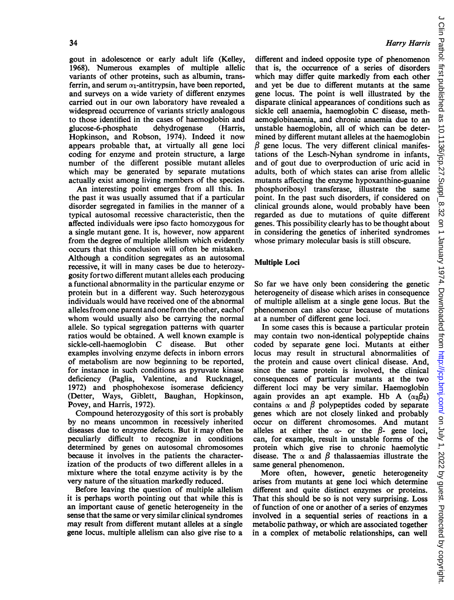gout in adolescence or early adult life (Kelley, 1968). Numerous examples of multiple allelic variants of other proteins, such as albumin, transferrin, and serum  $\alpha_1$ -antitrypsin, have been reported, and surveys on a wide variety of different enzymes carried out in our own laboratory have revealed a widespread occurrence of variants strictly analogous to those identified in the cases of haemoglobin and glucose-6-phosphate dehydrogenase (Harris, Hopkinson, and Robson, 1974). Indeed it now appears probable that, at virtually all gene loci coding for enzyme and protein structure, a large number of the different possible mutant alleles which may be generated by separate mutations actually exist among living members of the species.

An interesting point emerges from all this. In the past it was usually assumed that if a particular disorder segregated in families in the manner of a typical autosomal recessive characteristic, then the affected individuals were ipso facto homozygous for a single mutant gene. It is, however, now apparent from the degree of multiple allelism which evidently occurs that this conclusion will often be mistaken. Although a condition segregates as an autosomal recessive, it will in many cases be due to heterozygosity fortwo different mutant alleles each producing a functional abnormality in the particular enzyme or protein but in a different way. Such heterozygous individuals would have received one of the abnormal alleles from one parent and one from the other, eachof whom would usually also be carrying the normal allele. So typical segregation patterns with quarter ratios would be obtained. A well known example is sickle-cell-haemoglobin C disease. But other sickle-cell-haemoglobin C disease. But examples involving enzyme defects in inborn errors of metabolism are now beginning to be reported, for instance in such conditions as pyruvate kinase deficiency (Paglia, Valentine, and Rucknagel, 1972) and phosphohexose isomerase deficiency (Detter, Ways, Giblett, Baughan, Hopkinson, Povey, and Harris, 1972).

Compound heterozygosity of this sort is probably by no means uncommon in recessively inherited diseases due to enzyme defects. But it may often be peculiarly difficult to recognize in conditions determined by genes on autosomal chromosomes because it involves in the patients the characterization of the products of two different alleles in a mixture where the total enzyme activity is by the very nature of the situation markedly reduced.

Before leaving the question of multiple allelism it is perhaps worth pointing out that while this is an important cause of genetic heterogeneity in the sense that the same or very similar clinical syndromes may result from different mutant alleles at a single gene locus, multiple allelism can also give rise to a

different and indeed opposite type of phenomenon that is, the occurrence of a series of disorders which may differ quite markedly from each other and yet be due to different mutants at the same gene locus. The point is well illustrated by the disparate clinical appearances of conditions such as sickle cell anaemia, haemoglobin C disease, methaemoglobinaemia, and chronic anaemia due to an unstable haemoglobin, all of which can be determined by different mutant alleles at the haemoglobin  $\beta$  gene locus. The very different clinical manifestations of the Lesch-Nyhan syndrome in infants, and of gout due to overproduction of uric acid in adults, both of which states can arise from allelic mutants affecting the enzyme hypoxanthine-guanine phosphoribosyl transferase, illustrate the same point. In the past such disorders, if considered on clinical grounds alone, would probably have been regarded as due to mutations of quite different genes. This possibility clearly has to be thought about in considering the genetics of inherited syndromes whose primary molecular basis is still obscure.

## Multiple Loci

So far we have only been considering the genetic heterogeneity of disease which arises in consequence of multiple allelism at a single gene locus. But the phenomenon can also occur because of mutations at a number of different gene loci.

In some cases this is because a particular protein may contain two non-identical polypeptide chains coded by separate gene loci. Mutants at either locus may result in structural abnormalities of the protein and cause overt clinical disease. And, since the same protein is involved, the clinical consequences of particular mutants at the two different loci may be very similar. Haemoglobin again provides an apt example. Hb A  $(\alpha_2\beta_2)$ contains  $\alpha$  and  $\beta$  polypeptides coded by separate genes which are not closely linked and probably occur on different chromosomes. And mutant alleles at either the  $\alpha$ - or the  $\beta$ - gene loci, can, for example, result in unstable forms of the protein which give rise to chronic haemolytic disease. The  $\alpha$  and  $\beta$  thalassaemias illustrate the same general phenomenon.

More often, however, genetic heterogeneity arises from mutants at gene loci which determine different and quite distinct enzymes or proteins. That this should be so is not very surprising. Loss of function of one or another of a series of enzymes involved in a sequential series of reactions in a metabolic pathway, or which are associated together in a complex of metabolic relationships, can well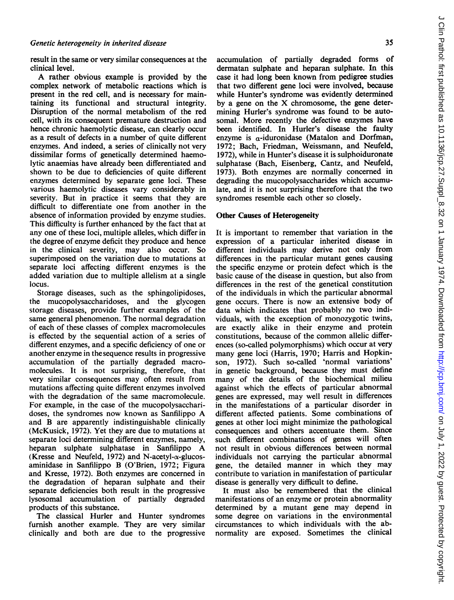result in the same or very similar consequences at the clinical level.

A rather obvious example is provided by the complex network of metabolic reactions which is present in the red cell, and is necessary for maintaining its functional and structural integrity. Disruption of the normal metabolism of the red cell, with its consequent premature destruction and hence chronic haemolytic disease, can clearly occur as a result of defects in a number of quite different enzymes. And indeed, a series of clinically not very dissimilar forms of genetically determined haemolytic anaemias have already been differentiated and shown to be due to deficiencies of quite different enzymes determined by separate gene loci. These various haemolytic diseases vary considerably in severity. But in practice it seems that they are difficult to differentiate one from another in the absence of information provided by enzyme studies. This difficulty is further enhanced by the fact that at any one of these loci, multiple alleles, which differ in the degree of enzyme deficit they produce and hence in the clinical severity, may also occur. So superimposed on the variation due to mutations at separate loci affecting different enzymes is the added variation due to multiple allelism at a single locus.

Storage diseases, such as the sphingolipidoses, the mucopolysaccharidoses, and the glycogen storage diseases, provide further examples of the same general phenomenon. The normal degradation of each of these classes of complex macromolecules is effected by the sequential action of a series of different enzymes, and a specific deficiency of one or another enzyme in the sequence results in progressive accumulation of the partially degraded macromolecules. It is not surprising, therefore, that very similar consequences may often result from mutations affecting quite different enzymes involved with the degradation of the same macromolecule. For example, in the case of the mucopolysaccharidoses, the syndromes now known as Sanfilippo A and B are apparently indistinguishable clinically (McKusick, 1972). Yet they are due to mutations at separate loci determining different enzymes, namely, heparan sulphate sulphatase in Sanfilippo A (Kresse and Neufeld, 1972) and N-acetyl- $\alpha$ -glucosaminidase in Sanfilippo B (O'Brien, 1972; Figura and Kresse, 1972). Both enzymes are concerned in the degradation of heparan sulphate and their separate deficiencies both result in the progressive lysosomal accumulation of partially degraded products of this substance.

The classical Hurler and Hunter syndromes furnish another example. They are very similar clinically and both are due to the progressive accumulation of partially degraded forms of dermatan sulphate and heparan sulphate. In this case it had long been known from pedigree studies that two different gene loci were involved, because while Hunter's syndrome was evidently determined by <sup>a</sup> gene on the X chromosome, the gene determining Hurler's syndrome was found to be autosomal. More recently the defective enzymes have been identified. In Hurler's disease the faulty enzyme is  $\alpha$ -iduronidase (Matalon and Dorfman, 1972; Bach, Friedman, Weissmann, and Neufeld, 1972), while in Hunter's disease it is sulphoiduronate sulphatase (Bach, Eisenberg, Cantz, and Neufeld, 1973). Both enzymes are normally concerned in degrading the mucopolysaccharides which accumulate, and it is not surprising therefore that the two syndromes resemble each other so closely.

## Other Causes of Heterogeneity

It is important to remember that variation in the expression of a particular inherited disease in different individuals may derive not only from differences in the particular mutant genes causing the specific enzyme or protein defect which is the basic cause of the disease in question, but also from differences in the rest of the genetical constitution of the individuals in which the particular abnormal gene occurs. There is now an extensive body of data which indicates that probably no two individuals, with the exception of monozygotic twins, are exactly alike in their enzyme and protein constitutions, because of the common allelic differences (so-called polymorphisms) which occur at very many gene loci (Harris, 1970; Harris and Hopkinson, 1972). Such so-called 'normal variations' in genetic background, because they must define many of the details of the biochemical milieu against which the effects of particular abnormal genes are expressed, may well result in differences in the manifestations of a particular disorder in different affected patients. Some combinations of genes at other loci might minimize the pathological consequences and others accentuate them. Since such different combinations of genes will often not result in obvious differences between normal individuals not carrying the particular abnormal gene, the detailed manner in which they may contribute to variation in manifestation of particular disease is generally very difficult to define.

It must also be remembered that the clinical manifestations of an enzyme or protein abnormality determined by a mutant gene may depend in some degree on variations in the environmental circumstances to which individuals with the abnormality are exposed. Sometimes the clinical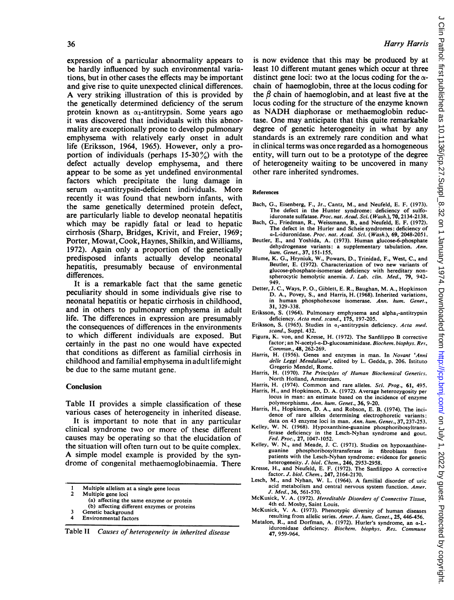expression of a particular abnormality appears to be hardly influenced by such environmental variations, but in other cases the effects may be important and give rise to quite unexpected clinical differences. A very striking illustration of this is provided by the genetically determined deficiency of the serum protein known as  $\alpha_1$ -antitrypsin. Some years ago it was discovered that individuals with this abnormality are exceptionally prone to develop pulmonary emphysema with relatively early onset in adult life (Eriksson, 1964, 1965). However, only a proportion of individuals (perhaps  $15-30\%$ ) with the defect actually develop emphysema, and there appear to be some as yet undefined environmental factors which precipitate the lung damage in serum  $\alpha_1$ -antitrypsin-deficient individuals. More recently it was found that newborn infants, with the same genetically determined protein defect, are particularly liable to develop neonatal hepatitis which may be rapidly fatal or lead to hepatic cirrhosis (Sharp, Bridges, Krivit, and Freier, 1969; Porter, Mowat, Cook, Haynes, Shilkin, and Williams, 1972). Again only a proportion of the genetically predisposed infants actually develop neonatal hepatitis, presumably because of environmental differences.

It is a remarkable fact that the same genetic peculiarity should in some individuals give rise to neonatal hepatitis or hepatic cirrhosis in childhood, and in others to pulmonary emphysema in adult life. The differences in expression are presumably the consequences of differences in the environments to which different individuals are exposed. But certainly in the past no one would have expected that conditions as different as familial cirrhosis in childhood and familial emphysema in adult lifemight be due to the same mutant gene.

## Conclusion

Table II provides a simple classification of these various cases of heterogeneity in inherited disease.

It is important to note that in any particular clinical syndrome two or more of these different causes may be operating so that the elucidation of the situation will often turn out to be quite complex. A simple model example is provided by the syndrome of congenital methaemoglobinaemia. There

|              | Multiple allelism at a single gene locus    |
|--------------|---------------------------------------------|
| $\mathbf{2}$ | Multiple gene loci                          |
|              | (a) affecting the same enzyme or protein    |
|              | (b) affecting different enzymes or proteins |
| 3            | Genetic background                          |
| 4            | <b>Environmental factors</b>                |



#### Harry Harris

is now evidence that this may be produced by at least 10 different mutant genes which occur at three distinct gene loci: two at the locus coding for the  $\alpha$ chain of haemoglobin, three at the locus coding for the  $\beta$  chain of haemoglobin, and at least five at the locus coding for the structure of the enzyme known as NADH diaphorase or methaemoglobin reductase. One may anticipate that this quite remarkable degree of genetic heterogeneity in what by any standards is an extremely rare condition and what in clinical terms was once regarded as a homogeneous entity, will turn out to be a prototype of the degree of heterogeneity waiting to be uncovered in many other rare inherited syndromes.

#### References

- Bach, G., Eisenberg, F., Jr., Cantz, M., and Neufeld, E. F. (1973). The defect in the Hunter syndrome: deficiency of sulfoiduronate sulfatase. Proc. nat. Acad. Sci. (Wash.), 70, 2134-2138.
- Bach, G., Friedman, R., Weissmann, B., and Neufeld, E. F. (1972). The defect in the Hurler and Scheie syndromes: deficiency of a-L-iduronidase. Proc. nat. Acad. Sci. (Wash.), 69, 2048-2051.
- Beutler, E., and Yoshida, A. (1973). Human glucose-6-phosphate<br>dehydrogenase variants: a supplementary tabulation. Ann. hum. Genet., 37, 151-155.
- Blume, K. G., Hryniuk, W., Powars, D., Trinidad, F., West, C., and Beutler, E. (1972). Characterization of two new variants of glucose-phosphate-isomerase deficiency with hereditary nonspherocytic hemolytic anemia. J. Lab. clin. Med., 79, 942- 949.
- Detter, J. C., Ways, P. O., Giblett, E. R., Baughan, M. A., Hopkinson D. A., Povey, S., and Harris, H. (1968). Inherited variations, in human phosphohexose isomerase. Ann. hum. Genet., 31, 329-338.
- Eriksson, S. (1964). Pulmonary emphysema and alpha,-antitrypsin deficiency. Acta med. scand., 175, 197-205.
- Eriksson, S. (1965). Studies in  $a_1$ -antitrypsin deficiency. Acta med. scand., Suppl. 432.
- Figura, K. von, and Kresse, H. (1972). The Sanfilippo B corrective factor; an N-acetyl-a-D-glucosaminidase. Biochem. biophys. Res. Commun., 48, 262-269.
- Harris, H. (1956). Genes and enzymes in man. In Novant 'Anni delle Leggi Mendaliane', edited by L. Gedda, p. 206. Istituto Gregerio Mendel, Rome.
- Harris, H. (1970). The Principles of Human Biochemical Genetics. North Holland, Amsterdam.
- Harris, H. (1974). Common and rare alleles. Sci. Prog., 61, 495. Harris, H., and Hopkinson, D. A. (1972). Average heterozygosity per locus in man: an estimate based on the incidence of enzyme polymorphisms. Ann. hum. Genet., 36, 9-20.
- Harris, H., Hopkinson, D. A., and Robson, E. B. (1974). The incidence of rare alleles determining electrophoretic variants: data on 43 enzyme loci in man. Ann. hum. Genet., 37,237-253.
- Kelley, W. N. (1968). Hypoxanthine-guanine phosphoribosyltransferase deficiency in the Lesch-Nyhan syndrome and gout. Fed. Proc., 27, 1047-1052.
- Kelley, W. N., and Meade, J. C. (1971). Studies on hypoxanthineguanine phosphoribosyltransferase in fibroblasts from patients with the Lesch-Nyhan syndrome: evidence for genetic heterogeneity. J. biol. Chem., 246, 2953-2958.
- Kresse, H., and Neufeld, E. F. (1972). The Sanfilippo A corrective factor. J. biol. Chem., 247, 2164-2170.
- Lesch, M., and Nyhan, W. L. (1964). A familial disorder of uric acid metabolism and central nervous system function. Amer. J. Med., 36, 561-570.
- McKusick, V. A. (1972). Hereditable Disorders of Connective Tissue, 4th ed. Mosby, Saint Louis.
- McKusick, V. A. (1973). Phenotypic diversity of human diseases resulting from allelic series. Amer. J. hum. Genet., 25, 446-456.
- Matalon, R., and Dorfman, A. (1972). Hurler's syndrome, an a-Liduronidase deficiency. Biochem. biophys. Res. Commune 47, 959-964.